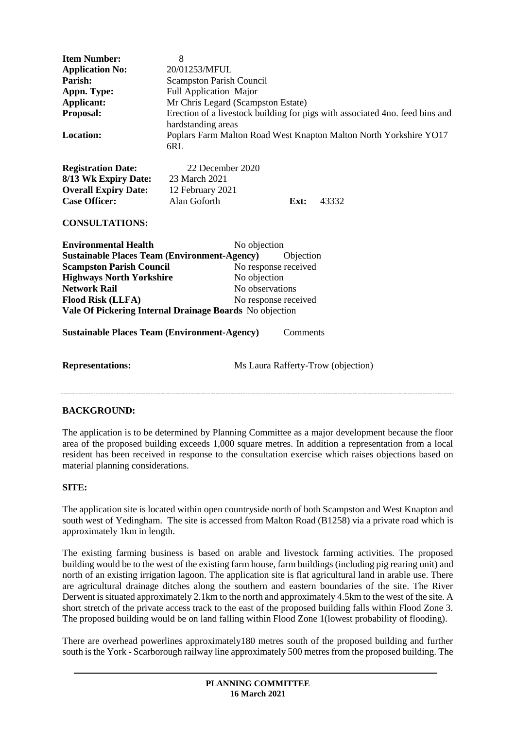| <b>Item Number:</b><br><b>Application No:</b><br>Parish:<br>Appn. Type:<br>Applicant:<br>Proposal:<br>Location:                                                                                             | 8<br>20/01253/MFUL<br><b>Scampston Parish Council</b><br>Full Application Major<br>Mr Chris Legard (Scampston Estate)<br>Erection of a livestock building for pigs with associated 4no. feed bins and<br>hardstanding areas<br>Poplars Farm Malton Road West Knapton Malton North Yorkshire YO17 |
|-------------------------------------------------------------------------------------------------------------------------------------------------------------------------------------------------------------|--------------------------------------------------------------------------------------------------------------------------------------------------------------------------------------------------------------------------------------------------------------------------------------------------|
|                                                                                                                                                                                                             | 6RL                                                                                                                                                                                                                                                                                              |
| <b>Registration Date:</b><br>8/13 Wk Expiry Date:<br><b>Overall Expiry Date:</b><br><b>Case Officer:</b>                                                                                                    | 22 December 2020<br>23 March 2021<br>12 February 2021<br>Alan Goforth<br>Ext:<br>43332                                                                                                                                                                                                           |
| <b>CONSULTATIONS:</b>                                                                                                                                                                                       |                                                                                                                                                                                                                                                                                                  |
| <b>Environmental Health</b><br><b>Sustainable Places Team (Environment-Agency)</b><br><b>Scampston Parish Council</b><br><b>Highways North Yorkshire</b><br><b>Network Rail</b><br><b>Flood Risk (LLFA)</b> | No objection<br>Objection<br>No response received<br>No objection<br>No observations<br>No response received<br>Vale Of Pickering Internal Drainage Boards No objection                                                                                                                          |
| <b>Sustainable Places Team (Environment-Agency)</b><br>Comments                                                                                                                                             |                                                                                                                                                                                                                                                                                                  |
| <b>Representations:</b>                                                                                                                                                                                     | Ms Laura Rafferty-Trow (objection)                                                                                                                                                                                                                                                               |
| <b>BACKGROUND:</b>                                                                                                                                                                                          |                                                                                                                                                                                                                                                                                                  |

The application is to be determined by Planning Committee as a major development because the floor area of the proposed building exceeds 1,000 square metres. In addition a representation from a local resident has been received in response to the consultation exercise which raises objections based on material planning considerations.

## **SITE:**

The application site is located within open countryside north of both Scampston and West Knapton and south west of Yedingham. The site is accessed from Malton Road (B1258) via a private road which is approximately 1km in length.

The existing farming business is based on arable and livestock farming activities. The proposed building would be to the west of the existing farm house, farm buildings (including pig rearing unit) and north of an existing irrigation lagoon. The application site is flat agricultural land in arable use. There are agricultural drainage ditches along the southern and eastern boundaries of the site. The River Derwent is situated approximately 2.1km to the north and approximately 4.5km to the west of the site. A short stretch of the private access track to the east of the proposed building falls within Flood Zone 3. The proposed building would be on land falling within Flood Zone 1(lowest probability of flooding).

There are overhead powerlines approximately180 metres south of the proposed building and further south is the York - Scarborough railway line approximately 500 metres from the proposed building. The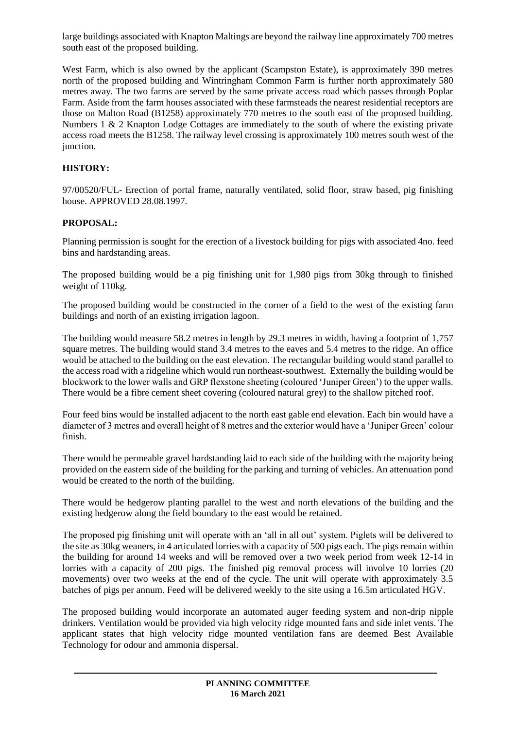large buildings associated with Knapton Maltings are beyond the railway line approximately 700 metres south east of the proposed building.

West Farm, which is also owned by the applicant (Scampston Estate), is approximately 390 metres north of the proposed building and Wintringham Common Farm is further north approximately 580 metres away. The two farms are served by the same private access road which passes through Poplar Farm. Aside from the farm houses associated with these farmsteads the nearest residential receptors are those on Malton Road (B1258) approximately 770 metres to the south east of the proposed building. Numbers  $1 \& 2$  Knapton Lodge Cottages are immediately to the south of where the existing private access road meets the B1258. The railway level crossing is approximately 100 metres south west of the junction.

## **HISTORY:**

97/00520/FUL- Erection of portal frame, naturally ventilated, solid floor, straw based, pig finishing house. APPROVED 28.08.1997.

# **PROPOSAL:**

Planning permission is sought for the erection of a livestock building for pigs with associated 4no. feed bins and hardstanding areas.

The proposed building would be a pig finishing unit for 1,980 pigs from 30kg through to finished weight of 110kg.

The proposed building would be constructed in the corner of a field to the west of the existing farm buildings and north of an existing irrigation lagoon.

The building would measure 58.2 metres in length by 29.3 metres in width, having a footprint of 1,757 square metres. The building would stand 3.4 metres to the eaves and 5.4 metres to the ridge. An office would be attached to the building on the east elevation. The rectangular building would stand parallel to the access road with a ridgeline which would run northeast-southwest. Externally the building would be blockwork to the lower walls and GRP flexstone sheeting (coloured 'Juniper Green') to the upper walls. There would be a fibre cement sheet covering (coloured natural grey) to the shallow pitched roof.

Four feed bins would be installed adjacent to the north east gable end elevation. Each bin would have a diameter of 3 metres and overall height of 8 metres and the exterior would have a 'Juniper Green' colour finish.

There would be permeable gravel hardstanding laid to each side of the building with the majority being provided on the eastern side of the building for the parking and turning of vehicles. An attenuation pond would be created to the north of the building.

There would be hedgerow planting parallel to the west and north elevations of the building and the existing hedgerow along the field boundary to the east would be retained.

The proposed pig finishing unit will operate with an 'all in all out' system. Piglets will be delivered to the site as 30kg weaners, in 4 articulated lorries with a capacity of 500 pigs each. The pigs remain within the building for around 14 weeks and will be removed over a two week period from week 12-14 in lorries with a capacity of 200 pigs. The finished pig removal process will involve 10 lorries (20 movements) over two weeks at the end of the cycle. The unit will operate with approximately 3.5 batches of pigs per annum. Feed will be delivered weekly to the site using a 16.5m articulated HGV.

The proposed building would incorporate an automated auger feeding system and non-drip nipple drinkers. Ventilation would be provided via high velocity ridge mounted fans and side inlet vents. The applicant states that high velocity ridge mounted ventilation fans are deemed Best Available Technology for odour and ammonia dispersal.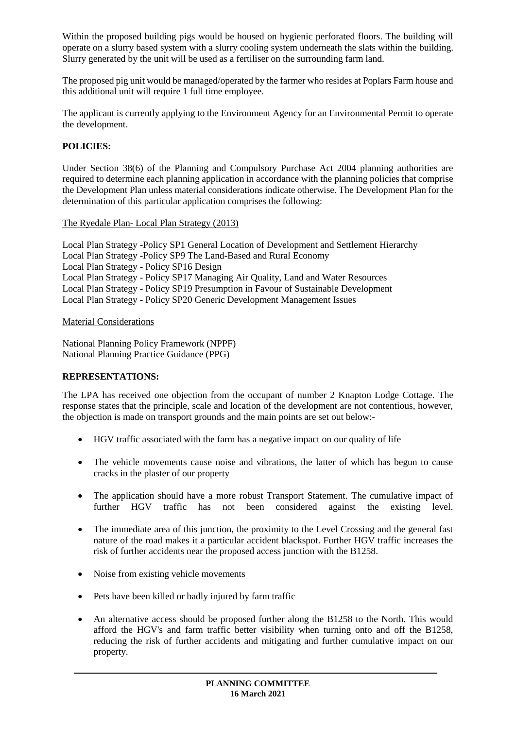Within the proposed building pigs would be housed on hygienic perforated floors. The building will operate on a slurry based system with a slurry cooling system underneath the slats within the building. Slurry generated by the unit will be used as a fertiliser on the surrounding farm land.

The proposed pig unit would be managed/operated by the farmer who resides at Poplars Farm house and this additional unit will require 1 full time employee.

The applicant is currently applying to the Environment Agency for an Environmental Permit to operate the development.

# **POLICIES:**

Under Section 38(6) of the Planning and Compulsory Purchase Act 2004 planning authorities are required to determine each planning application in accordance with the planning policies that comprise the Development Plan unless material considerations indicate otherwise. The Development Plan for the determination of this particular application comprises the following:

## The Ryedale Plan- Local Plan Strategy (2013)

Local Plan Strategy -Policy SP1 General Location of Development and Settlement Hierarchy Local Plan Strategy -Policy SP9 The Land-Based and Rural Economy Local Plan Strategy - Policy SP16 Design Local Plan Strategy - Policy SP17 Managing Air Quality, Land and Water Resources Local Plan Strategy - Policy SP19 Presumption in Favour of Sustainable Development Local Plan Strategy - Policy SP20 Generic Development Management Issues

### Material Considerations

National Planning Policy Framework (NPPF) National Planning Practice Guidance (PPG)

## **REPRESENTATIONS:**

The LPA has received one objection from the occupant of number 2 Knapton Lodge Cottage. The response states that the principle, scale and location of the development are not contentious, however, the objection is made on transport grounds and the main points are set out below:-

- HGV traffic associated with the farm has a negative impact on our quality of life
- The vehicle movements cause noise and vibrations, the latter of which has begun to cause cracks in the plaster of our property
- The application should have a more robust Transport Statement. The cumulative impact of further HGV traffic has not been considered against the existing level.
- The immediate area of this junction, the proximity to the Level Crossing and the general fast nature of the road makes it a particular accident blackspot. Further HGV traffic increases the risk of further accidents near the proposed access junction with the B1258.
- Noise from existing vehicle movements
- Pets have been killed or badly injured by farm traffic
- An alternative access should be proposed further along the B1258 to the North. This would afford the HGV's and farm traffic better visibility when turning onto and off the B1258, reducing the risk of further accidents and mitigating and further cumulative impact on our property.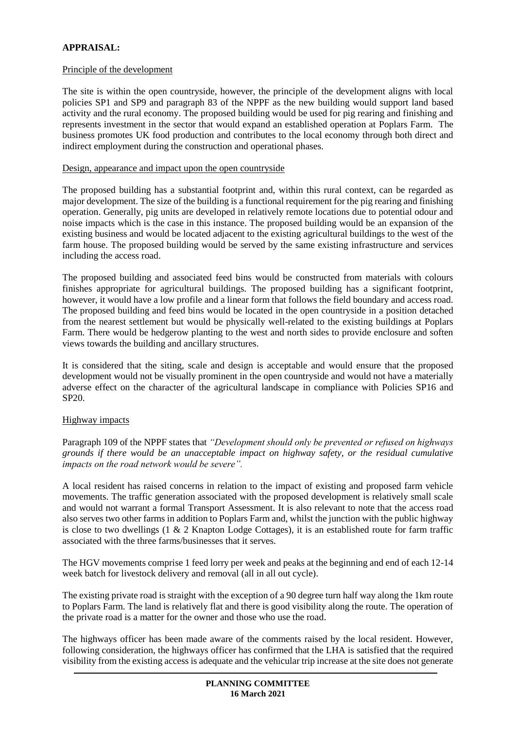# **APPRAISAL:**

### Principle of the development

The site is within the open countryside, however, the principle of the development aligns with local policies SP1 and SP9 and paragraph 83 of the NPPF as the new building would support land based activity and the rural economy. The proposed building would be used for pig rearing and finishing and represents investment in the sector that would expand an established operation at Poplars Farm. The business promotes UK food production and contributes to the local economy through both direct and indirect employment during the construction and operational phases.

### Design, appearance and impact upon the open countryside

The proposed building has a substantial footprint and, within this rural context, can be regarded as major development. The size of the building is a functional requirement for the pig rearing and finishing operation. Generally, pig units are developed in relatively remote locations due to potential odour and noise impacts which is the case in this instance. The proposed building would be an expansion of the existing business and would be located adjacent to the existing agricultural buildings to the west of the farm house. The proposed building would be served by the same existing infrastructure and services including the access road.

The proposed building and associated feed bins would be constructed from materials with colours finishes appropriate for agricultural buildings. The proposed building has a significant footprint, however, it would have a low profile and a linear form that follows the field boundary and access road. The proposed building and feed bins would be located in the open countryside in a position detached from the nearest settlement but would be physically well-related to the existing buildings at Poplars Farm. There would be hedgerow planting to the west and north sides to provide enclosure and soften views towards the building and ancillary structures.

It is considered that the siting, scale and design is acceptable and would ensure that the proposed development would not be visually prominent in the open countryside and would not have a materially adverse effect on the character of the agricultural landscape in compliance with Policies SP16 and SP20.

## Highway impacts

Paragraph 109 of the NPPF states that *"Development should only be prevented or refused on highways grounds if there would be an unacceptable impact on highway safety, or the residual cumulative impacts on the road network would be severe".*

A local resident has raised concerns in relation to the impact of existing and proposed farm vehicle movements. The traffic generation associated with the proposed development is relatively small scale and would not warrant a formal Transport Assessment. It is also relevant to note that the access road also serves two other farms in addition to Poplars Farm and, whilst the junction with the public highway is close to two dwellings (1 & 2 Knapton Lodge Cottages), it is an established route for farm traffic associated with the three farms/businesses that it serves.

The HGV movements comprise 1 feed lorry per week and peaks at the beginning and end of each 12-14 week batch for livestock delivery and removal (all in all out cycle).

The existing private road is straight with the exception of a 90 degree turn half way along the 1km route to Poplars Farm. The land is relatively flat and there is good visibility along the route. The operation of the private road is a matter for the owner and those who use the road.

The highways officer has been made aware of the comments raised by the local resident. However, following consideration, the highways officer has confirmed that the LHA is satisfied that the required visibility from the existing access is adequate and the vehicular trip increase at the site does not generate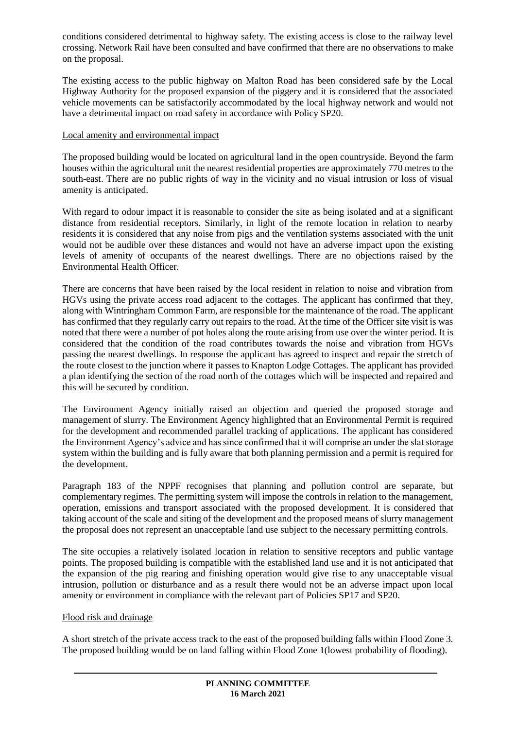conditions considered detrimental to highway safety. The existing access is close to the railway level crossing. Network Rail have been consulted and have confirmed that there are no observations to make on the proposal.

The existing access to the public highway on Malton Road has been considered safe by the Local Highway Authority for the proposed expansion of the piggery and it is considered that the associated vehicle movements can be satisfactorily accommodated by the local highway network and would not have a detrimental impact on road safety in accordance with Policy SP20.

## Local amenity and environmental impact

The proposed building would be located on agricultural land in the open countryside. Beyond the farm houses within the agricultural unit the nearest residential properties are approximately 770 metres to the south-east. There are no public rights of way in the vicinity and no visual intrusion or loss of visual amenity is anticipated.

With regard to odour impact it is reasonable to consider the site as being isolated and at a significant distance from residential receptors. Similarly, in light of the remote location in relation to nearby residents it is considered that any noise from pigs and the ventilation systems associated with the unit would not be audible over these distances and would not have an adverse impact upon the existing levels of amenity of occupants of the nearest dwellings. There are no objections raised by the Environmental Health Officer.

There are concerns that have been raised by the local resident in relation to noise and vibration from HGVs using the private access road adjacent to the cottages. The applicant has confirmed that they, along with Wintringham Common Farm, are responsible for the maintenance of the road. The applicant has confirmed that they regularly carry out repairs to the road. At the time of the Officer site visit is was noted that there were a number of pot holes along the route arising from use over the winter period. It is considered that the condition of the road contributes towards the noise and vibration from HGVs passing the nearest dwellings. In response the applicant has agreed to inspect and repair the stretch of the route closest to the junction where it passes to Knapton Lodge Cottages. The applicant has provided a plan identifying the section of the road north of the cottages which will be inspected and repaired and this will be secured by condition.

The Environment Agency initially raised an objection and queried the proposed storage and management of slurry. The Environment Agency highlighted that an Environmental Permit is required for the development and recommended parallel tracking of applications. The applicant has considered the Environment Agency's advice and has since confirmed that it will comprise an under the slat storage system within the building and is fully aware that both planning permission and a permit is required for the development.

Paragraph 183 of the NPPF recognises that planning and pollution control are separate, but complementary regimes. The permitting system will impose the controls in relation to the management, operation, emissions and transport associated with the proposed development. It is considered that taking account of the scale and siting of the development and the proposed means of slurry management the proposal does not represent an unacceptable land use subject to the necessary permitting controls.

The site occupies a relatively isolated location in relation to sensitive receptors and public vantage points. The proposed building is compatible with the established land use and it is not anticipated that the expansion of the pig rearing and finishing operation would give rise to any unacceptable visual intrusion, pollution or disturbance and as a result there would not be an adverse impact upon local amenity or environment in compliance with the relevant part of Policies SP17 and SP20.

## Flood risk and drainage

A short stretch of the private access track to the east of the proposed building falls within Flood Zone 3. The proposed building would be on land falling within Flood Zone 1(lowest probability of flooding).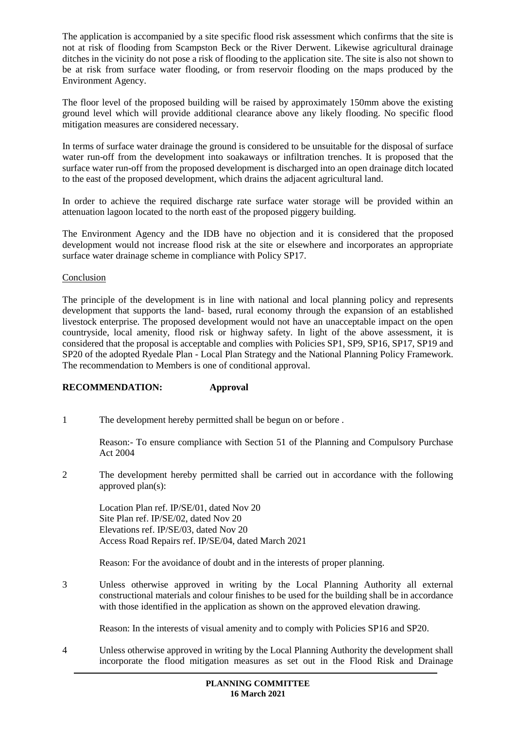The application is accompanied by a site specific flood risk assessment which confirms that the site is not at risk of flooding from Scampston Beck or the River Derwent. Likewise agricultural drainage ditches in the vicinity do not pose a risk of flooding to the application site. The site is also not shown to be at risk from surface water flooding, or from reservoir flooding on the maps produced by the Environment Agency.

The floor level of the proposed building will be raised by approximately 150mm above the existing ground level which will provide additional clearance above any likely flooding. No specific flood mitigation measures are considered necessary.

In terms of surface water drainage the ground is considered to be unsuitable for the disposal of surface water run-off from the development into soakaways or infiltration trenches. It is proposed that the surface water run-off from the proposed development is discharged into an open drainage ditch located to the east of the proposed development, which drains the adjacent agricultural land.

In order to achieve the required discharge rate surface water storage will be provided within an attenuation lagoon located to the north east of the proposed piggery building.

The Environment Agency and the IDB have no objection and it is considered that the proposed development would not increase flood risk at the site or elsewhere and incorporates an appropriate surface water drainage scheme in compliance with Policy SP17.

### **Conclusion**

The principle of the development is in line with national and local planning policy and represents development that supports the land- based, rural economy through the expansion of an established livestock enterprise. The proposed development would not have an unacceptable impact on the open countryside, local amenity, flood risk or highway safety. In light of the above assessment, it is considered that the proposal is acceptable and complies with Policies SP1, SP9, SP16, SP17, SP19 and SP20 of the adopted Ryedale Plan - Local Plan Strategy and the National Planning Policy Framework. The recommendation to Members is one of conditional approval.

## **RECOMMENDATION: Approval**

1 The development hereby permitted shall be begun on or before .

Reason:- To ensure compliance with Section 51 of the Planning and Compulsory Purchase Act 2004

2 The development hereby permitted shall be carried out in accordance with the following approved plan(s):

Location Plan ref. IP/SE/01, dated Nov 20 Site Plan ref. IP/SE/02, dated Nov 20 Elevations ref. IP/SE/03, dated Nov 20 Access Road Repairs ref. IP/SE/04, dated March 2021

Reason: For the avoidance of doubt and in the interests of proper planning.

3 Unless otherwise approved in writing by the Local Planning Authority all external constructional materials and colour finishes to be used for the building shall be in accordance with those identified in the application as shown on the approved elevation drawing.

Reason: In the interests of visual amenity and to comply with Policies SP16 and SP20.

4 Unless otherwise approved in writing by the Local Planning Authority the development shall incorporate the flood mitigation measures as set out in the Flood Risk and Drainage